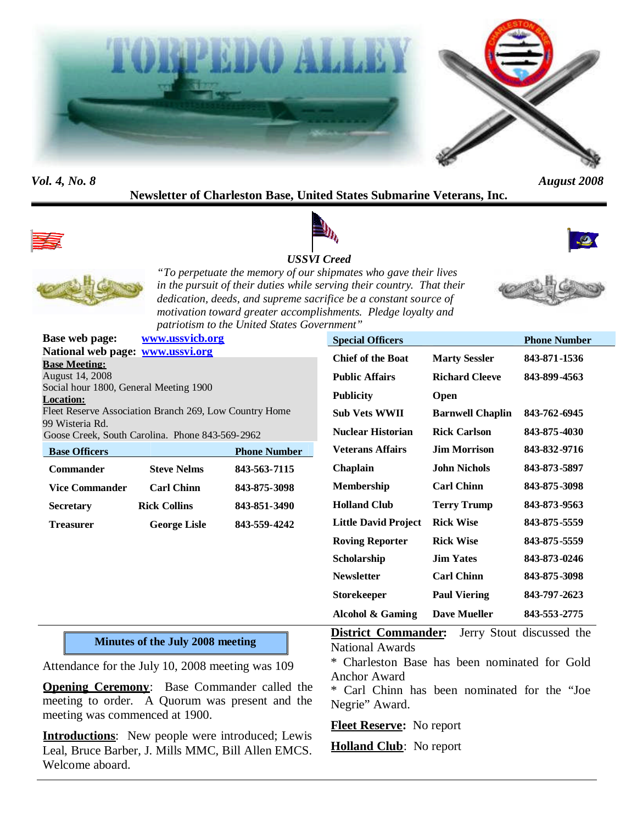



# **Newsletter of Charleston Base, United States Submarine Veterans, Inc.**





#### *USSVI Creed*





*"To perpetuate the memory of our shipmates who gave their lives in the pursuit of their duties while serving their country. That their dedication, deeds, and supreme sacrifice be a constant source of motivation toward greater accomplishments. Pledge loyalty and patriotism to the United States Government"*

| <b>Base web page:</b>                                                                                                                            | www.ussvicb.org                                                                                      |                     | <b>Special Officers</b>                                                               |                                             | <b>Phone Number</b>       |
|--------------------------------------------------------------------------------------------------------------------------------------------------|------------------------------------------------------------------------------------------------------|---------------------|---------------------------------------------------------------------------------------|---------------------------------------------|---------------------------|
| National web page: www.ussvi.org<br><b>Base Meeting:</b><br><b>August 14, 2008</b><br>Social hour 1800, General Meeting 1900<br><b>Location:</b> |                                                                                                      |                     | <b>Chief of the Boat</b>                                                              | <b>Marty Sessler</b>                        | 843-871-1536              |
|                                                                                                                                                  |                                                                                                      |                     | <b>Public Affairs</b>                                                                 | <b>Richard Cleeve</b>                       | 843-899-4563              |
|                                                                                                                                                  |                                                                                                      |                     | <b>Publicity</b>                                                                      | Open                                        |                           |
| Fleet Reserve Association Branch 269, Low Country Home                                                                                           |                                                                                                      |                     | <b>Sub Vets WWII</b>                                                                  | <b>Barnwell Chaplin</b>                     | 843-762-6945              |
| 99 Wisteria Rd.                                                                                                                                  | Goose Creek, South Carolina. Phone 843-569-2962                                                      |                     | <b>Nuclear Historian</b>                                                              | <b>Rick Carlson</b>                         | 843-875-4030              |
| <b>Base Officers</b>                                                                                                                             |                                                                                                      | <b>Phone Number</b> | <b>Veterans Affairs</b>                                                               | <b>Jim Morrison</b>                         | 843-832-9716              |
| <b>Commander</b>                                                                                                                                 | <b>Steve Nelms</b>                                                                                   | 843-563-7115        | Chaplain                                                                              | <b>John Nichols</b>                         | 843-873-5897              |
| <b>Vice Commander</b>                                                                                                                            | <b>Carl Chinn</b>                                                                                    | 843-875-3098        | Membership                                                                            | <b>Carl Chinn</b>                           | 843-875-3098              |
| <b>Secretary</b>                                                                                                                                 | <b>Rick Collins</b>                                                                                  | 843-851-3490        | <b>Holland Club</b>                                                                   | <b>Terry Trump</b>                          | 843-873-9563              |
| <b>Treasurer</b>                                                                                                                                 | <b>George Lisle</b>                                                                                  | 843-559-4242        | <b>Little David Project</b>                                                           | <b>Rick Wise</b>                            | 843-875-5559              |
|                                                                                                                                                  |                                                                                                      |                     | <b>Roving Reporter</b>                                                                | <b>Rick Wise</b>                            | 843-875-5559              |
|                                                                                                                                                  |                                                                                                      |                     | Scholarship                                                                           | <b>Jim Yates</b>                            | 843-873-0246              |
|                                                                                                                                                  |                                                                                                      |                     | <b>Newsletter</b>                                                                     | <b>Carl Chinn</b>                           | 843-875-3098              |
|                                                                                                                                                  |                                                                                                      |                     | <b>Storekeeper</b>                                                                    | <b>Paul Viering</b>                         | 843-797-2623              |
|                                                                                                                                                  |                                                                                                      |                     | <b>Alcohol &amp; Gaming</b>                                                           | <b>Dave Mueller</b>                         | 843-553-2775              |
| <b>Minutes of the July 2008 meeting</b>                                                                                                          |                                                                                                      |                     | <b>District Commander:</b><br><b>National Awards</b>                                  |                                             | Jerry Stout discussed the |
| Attendance for the July 10, 2008 meeting was 109                                                                                                 |                                                                                                      |                     |                                                                                       | Charleston Base has been nominated for Gold |                           |
| meeting was commenced at 1900.                                                                                                                   | <b>Opening Ceremony:</b> Base Commander called the<br>meeting to order. A Quorum was present and the |                     | <b>Anchor Award</b><br>* Carl Chinn has been nominated for the "Joe<br>Negrie" Award. |                                             |                           |

**Introductions**: New people were introduced; Lewis Leal, Bruce Barber, J. Mills MMC, Bill Allen EMCS. Welcome aboard.



**Fleet Reserve:** No report

**Holland Club**: No report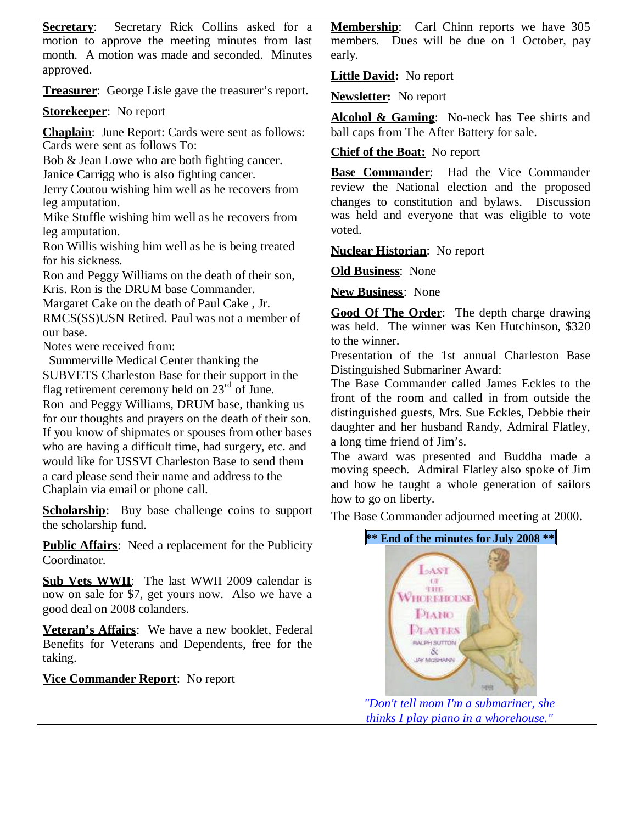**Secretary:** Secretary Rick Collins asked for a **Membership**: motion to approve the meeting minutes from last month. A motion was made and seconded. Minutes approved.

**Treasurer**: George Lisle gave the treasurer's report.

**Storekeeper**: No report

**Chaplain**: June Report: Cards were sent as follows: Cards were sent as follows To:

Bob & Jean Lowe who are both fighting cancer. Janice Carrigg who is also fighting cancer.

Jerry Coutou wishing him well as he recovers from leg amputation.

Mike Stuffle wishing him well as he recovers from leg amputation.

Ron Willis wishing him well as he is being treated for his sickness.

Ron and Peggy Williams on the death of their son, Kris. Ron is the DRUM base Commander.

Margaret Cake on the death of Paul Cake , Jr.

RMCS(SS)USN Retired. Paul was not a member of our base.

Notes were received from:

Summerville Medical Center thanking the SUBVETS Charleston Base for their support in the

flag retirement ceremony held on  $23<sup>rd</sup>$  of June. Ron and Peggy Williams, DRUM base, thanking us for our thoughts and prayers on the death of their son. If you know of shipmates or spouses from other bases who are having a difficult time, had surgery, etc. and would like for USSVI Charleston Base to send them a card please send their name and address to the Chaplain via email or phone call.

**Scholarship**: Buy base challenge coins to support the scholarship fund.

**Public Affairs**: Need a replacement for the Publicity Coordinator.

**Sub Vets WWII**: The last WWII 2009 calendar is now on sale for \$7, get yours now. Also we have a good deal on 2008 colanders.

**Veteran's Affairs**: We have a new booklet, Federal Benefits for Veterans and Dependents, free for the taking.

**Vice Commander Report**: No report

Carl Chinn reports we have 305 members. Dues will be due on 1 October, pay early.

**Little David:** No report

**Newsletter:** No report

**Alcohol & Gaming**: No-neck has Tee shirts and ball caps from The After Battery for sale.

**Chief of the Boat:** No report

**Base Commander**: Had the Vice Commander review the National election and the proposed changes to constitution and bylaws. Discussion was held and everyone that was eligible to vote voted.

**Nuclear Historian**: No report

**Old Business**: None

**New Business**: None

**Good Of The Order**: The depth charge drawing was held. The winner was Ken Hutchinson, \$320 to the winner.

Presentation of the 1st annual Charleston Base Distinguished Submariner Award:

The Base Commander called James Eckles to the front of the room and called in from outside the distinguished guests, Mrs. Sue Eckles, Debbie their daughter and her husband Randy, Admiral Flatley, a long time friend of Jim's.

The award was presented and Buddha made a moving speech. Admiral Flatley also spoke of Jim and how he taught a whole generation of sailors how to go on liberty.

The Base Commander adjourned meeting at 2000.





*"Don't tell mom I'm a submariner, she thinks I play piano in a whorehouse."*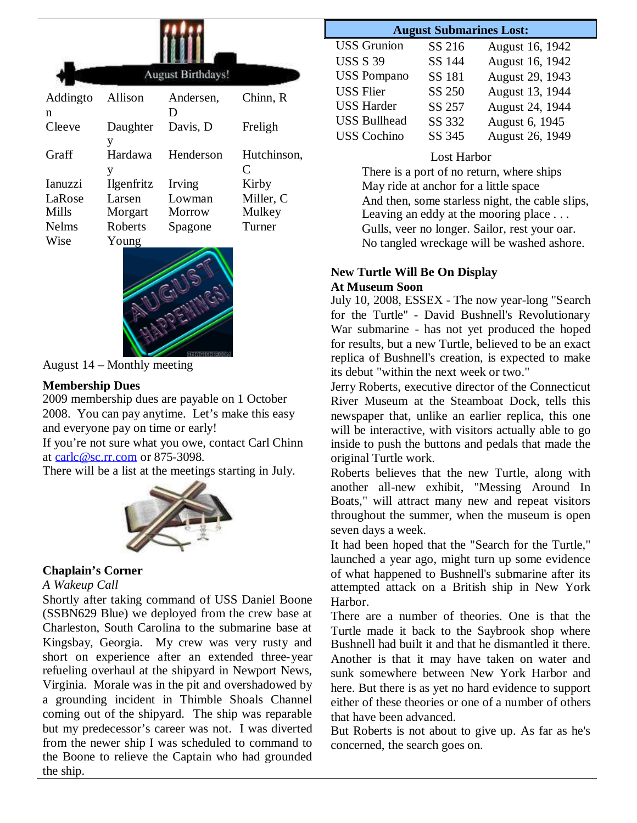| <b>August Birthdays!</b> |                |           |             |  |  |  |  |
|--------------------------|----------------|-----------|-------------|--|--|--|--|
| Addingto                 | Allison        | Andersen, | Chinn, R    |  |  |  |  |
| n                        |                | D         |             |  |  |  |  |
| Cleeve                   | Daughter       | Davis, D  | Freligh     |  |  |  |  |
|                          | y              |           |             |  |  |  |  |
| Graff                    | Hardawa        | Henderson | Hutchinson, |  |  |  |  |
|                          | y              |           | C           |  |  |  |  |
| <b>Ianuzzi</b>           | Ilgenfritz     | Irving    | Kirby       |  |  |  |  |
| LaRose                   | Larsen         | Lowman    | Miller, C   |  |  |  |  |
| Mills                    | Morgart        | Morrow    | Mulkey      |  |  |  |  |
| <b>Nelms</b>             | <b>Roberts</b> | Spagone   | Turner      |  |  |  |  |
| Wise                     | Young          |           |             |  |  |  |  |
|                          |                |           |             |  |  |  |  |



August 14 – Monthly meeting

### **Membership Dues**

2009 membership dues are payable on 1 October 2008. You can pay anytime. Let's make this easy and everyone pay on time or early!

If you're not sure what you owe, contact Carl Chinn at carlc@sc.rr.com or 875-3098.

There will be a list at the meetings starting in July.



#### **Chaplain's Corner**

#### *A Wakeup Call*

Shortly after taking command of USS Daniel Boone (SSBN629 Blue) we deployed from the crew base at Charleston, South Carolina to the submarine base at Kingsbay, Georgia. My crew was very rusty and short on experience after an extended three-year refueling overhaul at the shipyard in Newport News, Virginia. Morale was in the pit and overshadowed by a grounding incident in Thimble Shoals Channel coming out of the shipyard. The ship was reparable but my predecessor's career was not. I was diverted from the newer ship I was scheduled to command to the Boone to relieve the Captain who had grounded the ship.

#### **August Submarines Lost:**

| <b>USS</b> Grunion  | SS 216 | August 16, 1942 |
|---------------------|--------|-----------------|
| <b>USS S 39</b>     | SS 144 | August 16, 1942 |
| <b>USS Pompano</b>  | SS 181 | August 29, 1943 |
| <b>USS Flier</b>    | SS 250 | August 13, 1944 |
| <b>USS Harder</b>   | SS 257 | August 24, 1944 |
| <b>USS Bullhead</b> | SS 332 | August 6, 1945  |
| <b>USS</b> Cochino  | SS 345 | August 26, 1949 |

### Lost Harbor

There is a port of no return, where ships May ride at anchor for a little space And then, some starless night, the cable slips, Leaving an eddy at the mooring place ... Gulls, veer no longer. Sailor, rest your oar. No tangled wreckage will be washed ashore.

#### **New Turtle Will Be On Display At Museum Soon**

July 10, 2008, ESSEX - The now year-long "Search for the Turtle" - David Bushnell's Revolutionary War submarine - has not yet produced the hoped for results, but a new Turtle, believed to be an exact replica of Bushnell's creation, is expected to make its debut "within the next week or two."

Jerry Roberts, executive director of the Connecticut River Museum at the Steamboat Dock, tells this newspaper that, unlike an earlier replica, this one will be interactive, with visitors actually able to go inside to push the buttons and pedals that made the original Turtle work.

Roberts believes that the new Turtle, along with another all-new exhibit, "Messing Around In Boats," will attract many new and repeat visitors throughout the summer, when the museum is open seven days a week.

It had been hoped that the "Search for the Turtle," launched a year ago, might turn up some evidence of what happened to Bushnell's submarine after its attempted attack on a British ship in New York Harbor.

There are a number of theories. One is that the Turtle made it back to the Saybrook shop where Bushnell had built it and that he dismantled it there. Another is that it may have taken on water and sunk somewhere between New York Harbor and here. But there is as yet no hard evidence to support either of these theories or one of a number of others that have been advanced.

But Roberts is not about to give up. As far as he's concerned, the search goes on.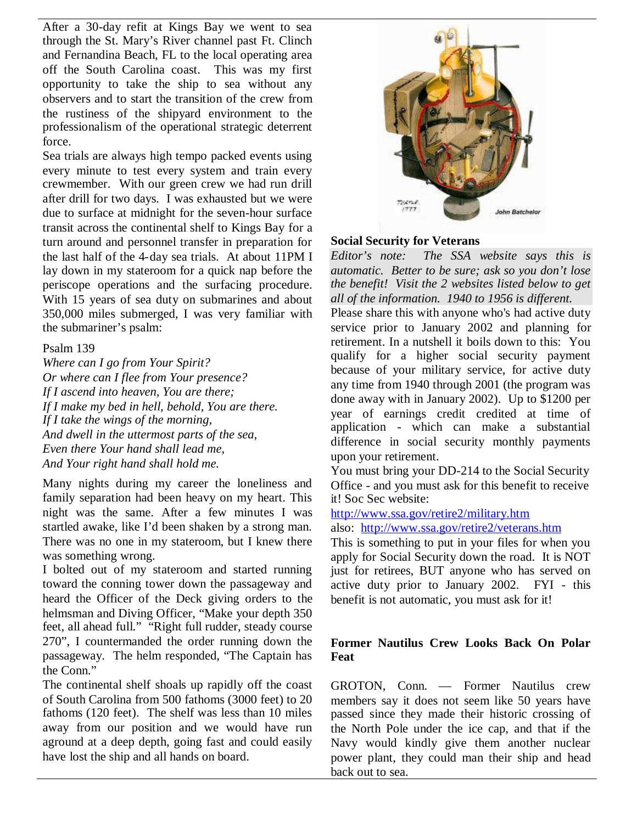After a 30-day refit at Kings Bay we went to sea through the St. Mary's River channel past Ft. Clinch and Fernandina Beach, FL to the local operating area off the South Carolina coast. This was my first opportunity to take the ship to sea without any observers and to start the transition of the crew from the rustiness of the shipyard environment to the professionalism of the operational strategic deterrent force.

Sea trials are always high tempo packed events using every minute to test every system and train every crewmember. With our green crew we had run drill after drill for two days. I was exhausted but we were due to surface at midnight for the seven-hour surface transit across the continental shelf to Kings Bay for a turn around and personnel transfer in preparation for the last half of the 4-day sea trials. At about 11PM I Editor's note: lay down in my stateroom for a quick nap before the periscope operations and the surfacing procedure. With 15 years of sea duty on submarines and about 350,000 miles submerged, I was very familiar with the submariner's psalm:

#### Psalm 139

*Where can I go from Your Spirit? Or where can I flee from Your presence? If I ascend into heaven, You are there; If I make my bed in hell, behold, You are there. If I take the wings of the morning, And dwell in the uttermost parts of the sea, Even there Your hand shall lead me, And Your right hand shall hold me.*

Many nights during my career the loneliness and family separation had been heavy on my heart. This night was the same. After a few minutes I was startled awake, like I'd been shaken by a strong man. There was no one in my stateroom, but I knew there was something wrong.

I bolted out of my stateroom and started running toward the conning tower down the passageway and heard the Officer of the Deck giving orders to the helmsman and Diving Officer, "Make your depth 350 feet, all ahead full." "Right full rudder, steady course 270", I countermanded the order running down the passageway. The helm responded, "The Captain has the Conn."

The continental shelf shoals up rapidly off the coast of South Carolina from 500 fathoms (3000 feet) to 20 fathoms (120 feet). The shelf was less than 10 miles away from our position and we would have run aground at a deep depth, going fast and could easily have lost the ship and all hands on board.



#### **Social Security for Veterans**

*Editor's note: The SSA website says this is automatic. Better to be sure; ask so you don't lose the benefit! Visit the 2 websites listed below to get all of the information. 1940 to 1956 is different.*

Please share this with anyone who's had active duty service prior to January 2002 and planning for retirement. In a nutshell it boils down to this: You qualify for a higher social security payment because of your military service, for active duty any time from 1940 through 2001 (the program was done away with in January 2002). Up to \$1200 per year of earnings credit credited at time of application - which can make a substantial difference in social security monthly payments upon your retirement.

You must bring your DD-214 to the Social Security Office - and you must ask for this benefit to receive it! Soc Sec website:

http://www.ssa.gov/retire2/military.htm

also: http://www.ssa.gov/retire2/veterans.htm

This is something to put in your files for when you apply for Social Security down the road. It is NOT just for retirees, BUT anyone who has served on active duty prior to January 2002. FYI - this benefit is not automatic, you must ask for it!

#### **Former Nautilus Crew Looks Back On Polar Feat**

GROTON, Conn. — Former Nautilus crew members say it does not seem like 50 years have passed since they made their historic crossing of the North Pole under the ice cap, and that if the Navy would kindly give them another nuclear power plant, they could man their ship and head back out to sea.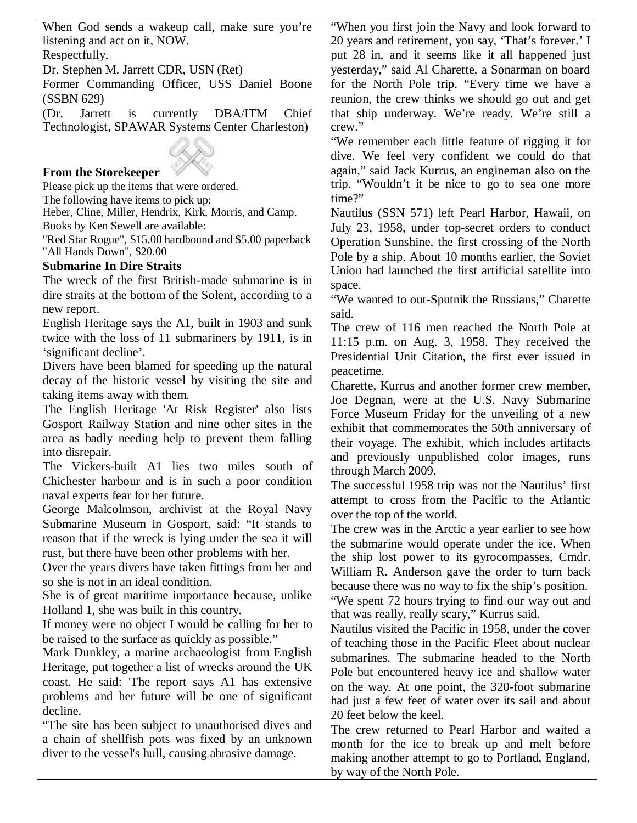When God sends a wakeup call, make sure you're listening and act on it, NOW.

Respectfully,

Dr. Stephen M. Jarrett CDR, USN (Ret)

Former Commanding Officer, USS Daniel Boone (SSBN 629)

(Dr. Jarrett is currently DBA/ITM Chief Technologist, SPAWAR Systems Center Charleston)

## **From the Storekeeper**

Please pick up the items that were ordered.

The following have items to pick up:

Heber, Cline, Miller, Hendrix, Kirk, Morris, and Camp. Books by Ken Sewell are available:

"Red Star Rogue", \$15.00 hardbound and \$5.00 paperback "All Hands Down", \$20.00

## **Submarine In Dire Straits**

The wreck of the first British-made submarine is in dire straits at the bottom of the Solent, according to a new report.

English Heritage says the A1, built in 1903 and sunk twice with the loss of 11 submariners by 1911, is in 'significant decline'.

Divers have been blamed for speeding up the natural decay of the historic vessel by visiting the site and taking items away with them.

The English Heritage 'At Risk Register' also lists Gosport Railway Station and nine other sites in the area as badly needing help to prevent them falling into disrepair.

The Vickers-built A1 lies two miles south of Chichester harbour and is in such a poor condition naval experts fear for her future.

George Malcolmson, archivist at the Royal Navy Submarine Museum in Gosport, said: "It stands to reason that if the wreck is lying under the sea it will rust, but there have been other problems with her.

Over the years divers have taken fittings from her and so she is not in an ideal condition.

She is of great maritime importance because, unlike Holland 1, she was built in this country.

If money were no object I would be calling for her to be raised to the surface as quickly as possible."

Mark Dunkley, a marine archaeologist from English Heritage, put together a list of wrecks around the UK coast. He said: 'The report says A1 has extensive problems and her future will be one of significant decline.

"The site has been subject to unauthorised dives and a chain of shellfish pots was fixed by an unknown diver to the vessel's hull, causing abrasive damage.

"When you first join the Navy and look forward to 20 years and retirement, you say, 'That's forever.' I put 28 in, and it seems like it all happened just yesterday," said Al Charette, a Sonarman on board for the North Pole trip. "Every time we have a reunion, the crew thinks we should go out and get that ship underway. We're ready. We're still a crew."

"We remember each little feature of rigging it for dive. We feel very confident we could do that again," said Jack Kurrus, an engineman also on the trip. "Wouldn't it be nice to go to sea one more time?"

Nautilus (SSN 571) left Pearl Harbor, Hawaii, on July 23, 1958, under top-secret orders to conduct Operation Sunshine, the first crossing of the North Pole by a ship. About 10 months earlier, the Soviet Union had launched the first artificial satellite into space.

"We wanted to out-Sputnik the Russians," Charette said.

The crew of 116 men reached the North Pole at 11:15 p.m. on Aug. 3, 1958. They received the Presidential Unit Citation, the first ever issued in peacetime.

Charette, Kurrus and another former crew member, Joe Degnan, were at the U.S. Navy Submarine Force Museum Friday for the unveiling of a new exhibit that commemorates the 50th anniversary of their voyage. The exhibit, which includes artifacts and previously unpublished color images, runs through March 2009.

The successful 1958 trip was not the Nautilus' first attempt to cross from the Pacific to the Atlantic over the top of the world.

The crew was in the Arctic a year earlier to see how the submarine would operate under the ice. When the ship lost power to its gyrocompasses, Cmdr. William R. Anderson gave the order to turn back because there was no way to fix the ship's position.

"We spent 72 hours trying to find our way out and that was really, really scary," Kurrus said.

Nautilus visited the Pacific in 1958, under the cover of teaching those in the Pacific Fleet about nuclear submarines. The submarine headed to the North Pole but encountered heavy ice and shallow water on the way. At one point, the 320-foot submarine had just a few feet of water over its sail and about 20 feet below the keel.

The crew returned to Pearl Harbor and waited a month for the ice to break up and melt before making another attempt to go to Portland, England, by way of the North Pole.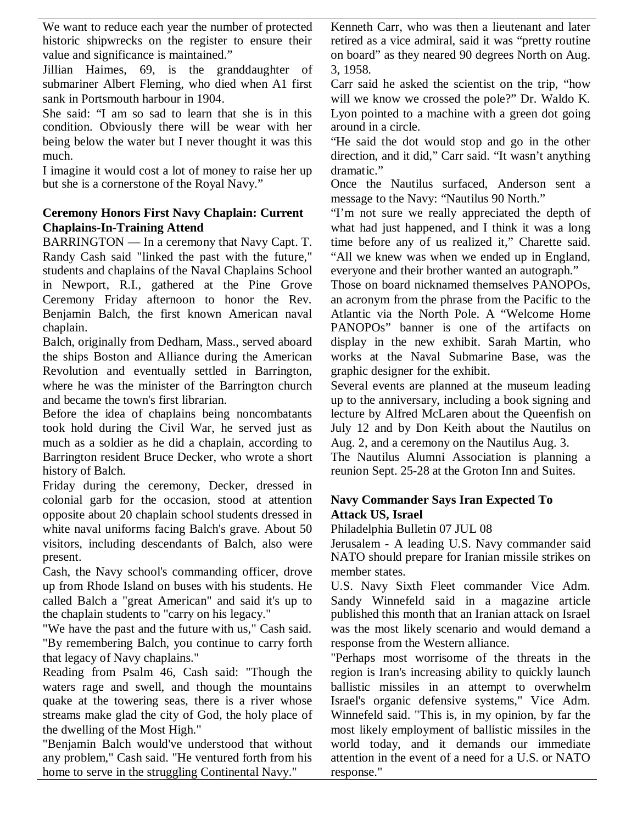We want to reduce each year the number of protected historic shipwrecks on the register to ensure their value and significance is maintained."

Jillian Haimes, 69, is the granddaughter of submariner Albert Fleming, who died when A1 first sank in Portsmouth harbour in 1904.

She said: "I am so sad to learn that she is in this condition. Obviously there will be wear with her being below the water but I never thought it was this much.

I imagine it would cost a lot of money to raise her up but she is a cornerstone of the Royal Navy."

### **Ceremony Honors First Navy Chaplain: Current Chaplains-In-Training Attend**

BARRINGTON — In a ceremony that Navy Capt. T. Randy Cash said "linked the past with the future," students and chaplains of the Naval Chaplains School in Newport, R.I., gathered at the Pine Grove Ceremony Friday afternoon to honor the Rev. Benjamin Balch, the first known American naval chaplain.

Balch, originally from Dedham, Mass., served aboard the ships Boston and Alliance during the American Revolution and eventually settled in Barrington, where he was the minister of the Barrington church and became the town's first librarian.

Before the idea of chaplains being noncombatants took hold during the Civil War, he served just as much as a soldier as he did a chaplain, according to Barrington resident Bruce Decker, who wrote a short history of Balch.

Friday during the ceremony, Decker, dressed in colonial garb for the occasion, stood at attention opposite about 20 chaplain school students dressed in white naval uniforms facing Balch's grave. About 50 visitors, including descendants of Balch, also were present.

Cash, the Navy school's commanding officer, drove up from Rhode Island on buses with his students. He called Balch a "great American" and said it's up to the chaplain students to "carry on his legacy."

"We have the past and the future with us," Cash said. "By remembering Balch, you continue to carry forth that legacy of Navy chaplains."

Reading from Psalm 46, Cash said: "Though the waters rage and swell, and though the mountains quake at the towering seas, there is a river whose streams make glad the city of God, the holy place of the dwelling of the Most High."

"Benjamin Balch would've understood that without any problem," Cash said. "He ventured forth from his home to serve in the struggling Continental Navy."

Kenneth Carr, who was then a lieutenant and later retired as a vice admiral, said it was "pretty routine on board" as they neared 90 degrees North on Aug. 3, 1958.

Carr said he asked the scientist on the trip, "how will we know we crossed the pole?" Dr. Waldo K. Lyon pointed to a machine with a green dot going around in a circle.

"He said the dot would stop and go in the other direction, and it did," Carr said. "It wasn't anything dramatic."

Once the Nautilus surfaced, Anderson sent a message to the Navy: "Nautilus 90 North."

"I'm not sure we really appreciated the depth of what had just happened, and I think it was a long time before any of us realized it," Charette said. "All we knew was when we ended up in England, everyone and their brother wanted an autograph."

Those on board nicknamed themselves PANOPOs, an acronym from the phrase from the Pacific to the Atlantic via the North Pole. A "Welcome Home PANOPOs" banner is one of the artifacts on display in the new exhibit. Sarah Martin, who works at the Naval Submarine Base, was the graphic designer for the exhibit.

Several events are planned at the museum leading up to the anniversary, including a book signing and lecture by Alfred McLaren about the Queenfish on July 12 and by Don Keith about the Nautilus on Aug. 2, and a ceremony on the Nautilus Aug. 3.

The Nautilus Alumni Association is planning a reunion Sept. 25-28 at the Groton Inn and Suites.

## **Navy Commander Says Iran Expected To Attack US, Israel**

Philadelphia Bulletin 07 JUL 08

Jerusalem - A leading U.S. Navy commander said NATO should prepare for Iranian missile strikes on member states.

U.S. Navy Sixth Fleet commander Vice Adm. Sandy Winnefeld said in a magazine article published this month that an Iranian attack on Israel was the most likely scenario and would demand a response from the Western alliance.

"Perhaps most worrisome of the threats in the region is Iran's increasing ability to quickly launch ballistic missiles in an attempt to overwhelm Israel's organic defensive systems," Vice Adm. Winnefeld said. "This is, in my opinion, by far the most likely employment of ballistic missiles in the world today, and it demands our immediate attention in the event of a need for a U.S. or NATO response."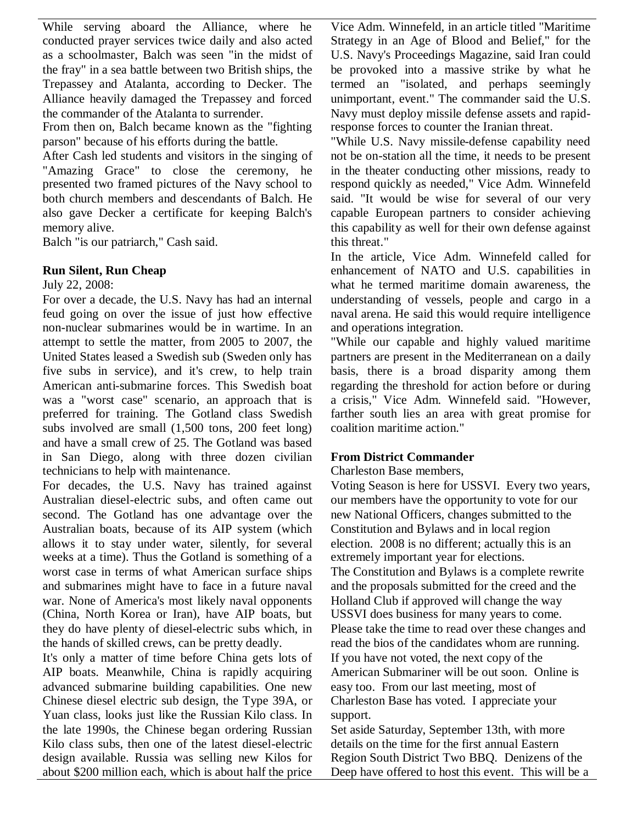While serving aboard the Alliance, where he conducted prayer services twice daily and also acted as a schoolmaster, Balch was seen "in the midst of the fray" in a sea battle between two British ships, the Trepassey and Atalanta, according to Decker. The Alliance heavily damaged the Trepassey and forced the commander of the Atalanta to surrender.

From then on, Balch became known as the "fighting parson" because of his efforts during the battle.

After Cash led students and visitors in the singing of "Amazing Grace" to close the ceremony, he presented two framed pictures of the Navy school to both church members and descendants of Balch. He also gave Decker a certificate for keeping Balch's memory alive.

Balch "is our patriarch," Cash said.

### **Run Silent, Run Cheap**

July 22, 2008:

For over a decade, the U.S. Navy has had an internal feud going on over the issue of just how effective non-nuclear submarines would be in wartime. In an attempt to settle the matter, from 2005 to 2007, the United States leased a Swedish sub (Sweden only has five subs in service), and it's crew, to help train American anti-submarine forces. This Swedish boat was a "worst case" scenario, an approach that is preferred for training. The Gotland class Swedish subs involved are small (1,500 tons, 200 feet long) and have a small crew of 25. The Gotland was based in San Diego, along with three dozen civilian technicians to help with maintenance.

For decades, the U.S. Navy has trained against Australian diesel-electric subs, and often came out second. The Gotland has one advantage over the Australian boats, because of its AIP system (which allows it to stay under water, silently, for several weeks at a time). Thus the Gotland is something of a worst case in terms of what American surface ships and submarines might have to face in a future naval war. None of America's most likely naval opponents (China, North Korea or Iran), have AIP boats, but they do have plenty of diesel-electric subs which, in the hands of skilled crews, can be pretty deadly.

It's only a matter of time before China gets lots of AIP boats. Meanwhile, China is rapidly acquiring advanced submarine building capabilities. One new Chinese diesel electric sub design, the Type 39A, or Yuan class, looks just like the Russian Kilo class. In the late 1990s, the Chinese began ordering Russian Kilo class subs, then one of the latest diesel-electric design available. Russia was selling new Kilos for about \$200 million each, which is about half the price Vice Adm. Winnefeld, in an article titled "Maritime Strategy in an Age of Blood and Belief," for the U.S. Navy's Proceedings Magazine, said Iran could be provoked into a massive strike by what he termed an "isolated, and perhaps seemingly unimportant, event." The commander said the U.S. Navy must deploy missile defense assets and rapidresponse forces to counter the Iranian threat.

"While U.S. Navy missile-defense capability need not be on-station all the time, it needs to be present in the theater conducting other missions, ready to respond quickly as needed," Vice Adm. Winnefeld said. "It would be wise for several of our very capable European partners to consider achieving this capability as well for their own defense against this threat."

In the article, Vice Adm. Winnefeld called for enhancement of NATO and U.S. capabilities in what he termed maritime domain awareness, the understanding of vessels, people and cargo in a naval arena. He said this would require intelligence and operations integration.

"While our capable and highly valued maritime partners are present in the Mediterranean on a daily basis, there is a broad disparity among them regarding the threshold for action before or during a crisis," Vice Adm. Winnefeld said. "However, farther south lies an area with great promise for coalition maritime action."

# **From District Commander**

Charleston Base members,

Voting Season is here for USSVI. Every two years, our members have the opportunity to vote for our new National Officers, changes submitted to the Constitution and Bylaws and in local region election. 2008 is no different; actually this is an extremely important year for elections. The Constitution and Bylaws is a complete rewrite and the proposals submitted for the creed and the Holland Club if approved will change the way USSVI does business for many years to come. Please take the time to read over these changes and read the bios of the candidates whom are running. If you have not voted, the next copy of the American Submariner will be out soon. Online is easy too. From our last meeting, most of Charleston Base has voted. I appreciate your support.

Set aside Saturday, September 13th, with more details on the time for the first annual Eastern Region South District Two BBQ. Denizens of the Deep have offered to host this event. This will be a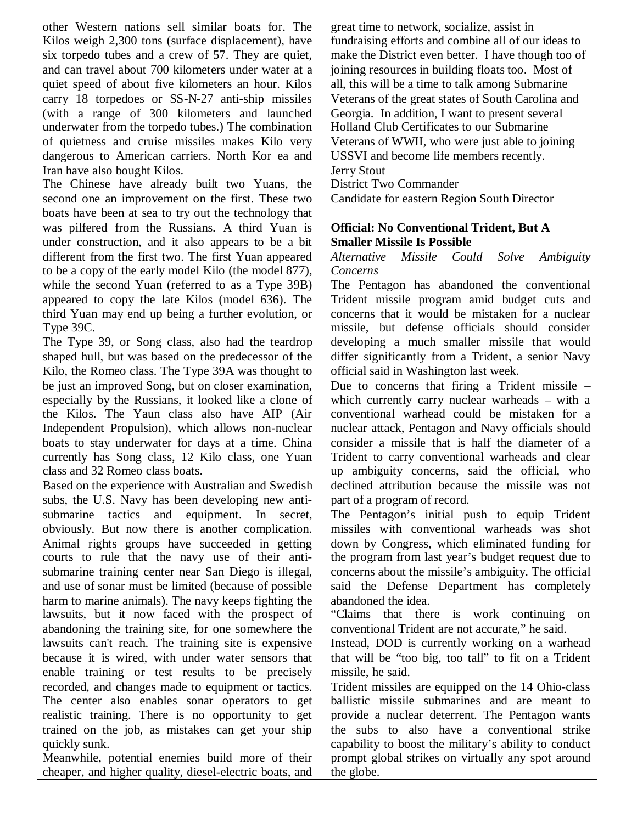other Western nations sell similar boats for. The Kilos weigh 2,300 tons (surface displacement), have six torpedo tubes and a crew of 57. They are quiet, and can travel about 700 kilometers under water at a quiet speed of about five kilometers an hour. Kilos carry 18 torpedoes or SS-N-27 anti-ship missiles (with a range of 300 kilometers and launched underwater from the torpedo tubes.) The combination of quietness and cruise missiles makes Kilo very dangerous to American carriers. North Kor ea and Iran have also bought Kilos.

The Chinese have already built two Yuans, the second one an improvement on the first. These two boats have been at sea to try out the technology that was pilfered from the Russians. A third Yuan is under construction, and it also appears to be a bit different from the first two. The first Yuan appeared to be a copy of the early model Kilo (the model 877), while the second Yuan (referred to as a Type 39B) appeared to copy the late Kilos (model 636). The third Yuan may end up being a further evolution, or Type 39C.

The Type 39, or Song class, also had the teardrop shaped hull, but was based on the predecessor of the Kilo, the Romeo class. The Type 39A was thought to be just an improved Song, but on closer examination, especially by the Russians, it looked like a clone of the Kilos. The Yaun class also have AIP (Air Independent Propulsion), which allows non-nuclear boats to stay underwater for days at a time. China currently has Song class, 12 Kilo class, one Yuan class and 32 Romeo class boats.

Based on the experience with Australian and Swedish subs, the U.S. Navy has been developing new antisubmarine tactics and equipment. In secret, obviously. But now there is another complication. Animal rights groups have succeeded in getting courts to rule that the navy use of their antisubmarine training center near San Diego is illegal, and use of sonar must be limited (because of possible harm to marine animals). The navy keeps fighting the lawsuits, but it now faced with the prospect of abandoning the training site, for one somewhere the lawsuits can't reach. The training site is expensive because it is wired, with under water sensors that enable training or test results to be precisely recorded, and changes made to equipment or tactics. The center also enables sonar operators to get realistic training. There is no opportunity to get trained on the job, as mistakes can get your ship quickly sunk.

Meanwhile, potential enemies build more of their cheaper, and higher quality, diesel-electric boats, and

great time to network, socialize, assist in fundraising efforts and combine all of our ideas to make the District even better. I have though too of joining resources in building floats too. Most of all, this will be a time to talk among Submarine Veterans of the great states of South Carolina and Georgia. In addition, I want to present several Holland Club Certificates to our Submarine Veterans of WWII, who were just able to joining USSVI and become life members recently. Jerry Stout

District Two Commander

Candidate for eastern Region South Director

### **Official: No Conventional Trident, But A Smaller Missile Is Possible**

*Alternative Missile Could Solve Ambiguity Concerns*

The Pentagon has abandoned the conventional Trident missile program amid budget cuts and concerns that it would be mistaken for a nuclear missile, but defense officials should consider developing a much smaller missile that would differ significantly from a Trident, a senior Navy official said in Washington last week.

Due to concerns that firing a Trident missile – which currently carry nuclear warheads – with a conventional warhead could be mistaken for a nuclear attack, Pentagon and Navy officials should consider a missile that is half the diameter of a Trident to carry conventional warheads and clear up ambiguity concerns, said the official, who declined attribution because the missile was not part of a program of record.

The Pentagon's initial push to equip Trident missiles with conventional warheads was shot down by Congress, which eliminated funding for the program from last year's budget request due to concerns about the missile's ambiguity. The official said the Defense Department has completely abandoned the idea.

"Claims that there is work continuing on conventional Trident are not accurate," he said.

Instead, DOD is currently working on a warhead that will be "too big, too tall" to fit on a Trident missile, he said.

Trident missiles are equipped on the 14 Ohio-class ballistic missile submarines and are meant to provide a nuclear deterrent. The Pentagon wants the subs to also have a conventional strike capability to boost the military's ability to conduct prompt global strikes on virtually any spot around the globe.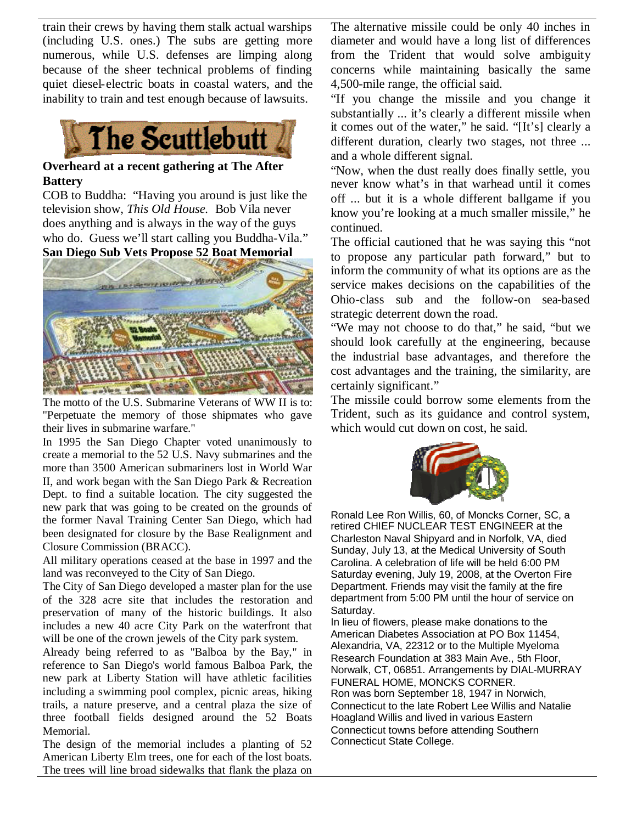train their crews by having them stalk actual warships (including U.S. ones.) The subs are getting more numerous, while U.S. defenses are limping along because of the sheer technical problems of finding quiet diesel-electric boats in coastal waters, and the inability to train and test enough because of lawsuits.



#### **Overheard at a recent gathering at The After Battery**

COB to Buddha: "Having you around is just like the television show, *This Old House.* Bob Vila never does anything and is always in the way of the guys who do. Guess we'll start calling you Buddha-Vila." **San Diego Sub Vets Propose 52 Boat Memorial**



The motto of the U.S. Submarine Veterans of WW II is to: "Perpetuate the memory of those shipmates who gave their lives in submarine warfare."

In 1995 the San Diego Chapter voted unanimously to create a memorial to the 52 U.S. Navy submarines and the more than 3500 American submariners lost in World War II, and work began with the San Diego Park & Recreation Dept. to find a suitable location. The city suggested the new park that was going to be created on the grounds of the former Naval Training Center San Diego, which had been designated for closure by the Base Realignment and Closure Commission (BRACC).

All military operations ceased at the base in 1997 and the land was reconveyed to the City of San Diego.

The City of San Diego developed a master plan for the use of the 328 acre site that includes the restoration and preservation of many of the historic buildings. It also includes a new 40 acre City Park on the waterfront that will be one of the crown jewels of the City park system.

Already being referred to as "Balboa by the Bay," in reference to San Diego's world famous Balboa Park, the new park at Liberty Station will have athletic facilities including a swimming pool complex, picnic areas, hiking trails, a nature preserve, and a central plaza the size of three football fields designed around the 52 Boats Memorial.

The design of the memorial includes a planting of 52 American Liberty Elm trees, one for each of the lost boats. The trees will line broad sidewalks that flank the plaza on

The alternative missile could be only 40 inches in diameter and would have a long list of differences from the Trident that would solve ambiguity concerns while maintaining basically the same 4,500-mile range, the official said.

"If you change the missile and you change it substantially ... it's clearly a different missile when it comes out of the water," he said. "[It's] clearly a different duration, clearly two stages, not three ... and a whole different signal.

"Now, when the dust really does finally settle, you never know what's in that warhead until it comes off ... but it is a whole different ballgame if you know you're looking at a much smaller missile," he continued.

The official cautioned that he was saying this "not to propose any particular path forward," but to inform the community of what its options are as the service makes decisions on the capabilities of the Ohio-class sub and the follow-on sea-based strategic deterrent down the road.

"We may not choose to do that," he said, "but we should look carefully at the engineering, because the industrial base advantages, and therefore the cost advantages and the training, the similarity, are certainly significant."

The missile could borrow some elements from the Trident, such as its guidance and control system, which would cut down on cost, he said.



Ronald Lee Ron Willis, 60, of Moncks Corner, SC, a retired CHIEF NUCLEAR TEST ENGINEER at the Charleston Naval Shipyard and in Norfolk, VA, died Sunday, July 13, at the Medical University of South Carolina. A celebration of life will be held 6:00 PM Saturday evening, July 19, 2008, at the Overton Fire Department. Friends may visit the family at the fire department from 5:00 PM until the hour of service on Saturday.

In lieu of flowers, please make donations to the American Diabetes Association at PO Box 11454, Alexandria, VA, 22312 or to the Multiple Myeloma Research Foundation at 383 Main Ave., 5th Floor, Norwalk, CT, 06851. Arrangements by DIAL-MURRAY FUNERAL HOME, MONCKS CORNER. Ron was born September 18, 1947 in Norwich, Connecticut to the late Robert Lee Willis and Natalie Hoagland Willis and lived in various Eastern Connecticut towns before attending Southern Connecticut State College.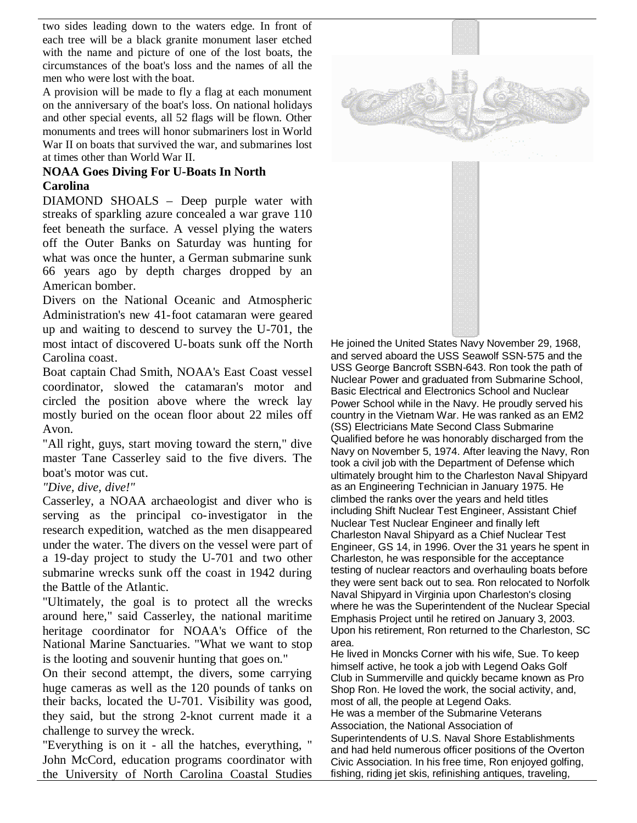two sides leading down to the waters edge. In front of each tree will be a black granite monument laser etched with the name and picture of one of the lost boats, the circumstances of the boat's loss and the names of all the men who were lost with the boat.

A provision will be made to fly a flag at each monument on the anniversary of the boat's loss. On national holidays and other special events, all 52 flags will be flown. Other monuments and trees will honor submariners lost in World War II on boats that survived the war, and submarines lost at times other than World War II.

### **NOAA Goes Diving For U-Boats In North Carolina**

DIAMOND SHOALS – Deep purple water with streaks of sparkling azure concealed a war grave 110 feet beneath the surface. A vessel plying the waters off the Outer Banks on Saturday was hunting for what was once the hunter, a German submarine sunk 66 years ago by depth charges dropped by an American bomber.

Divers on the National Oceanic and Atmospheric Administration's new 41-foot catamaran were geared up and waiting to descend to survey the U-701, the most intact of discovered U-boats sunk off the North Carolina coast.

Boat captain Chad Smith, NOAA's East Coast vessel coordinator, slowed the catamaran's motor and circled the position above where the wreck lay mostly buried on the ocean floor about 22 miles off Avon.

"All right, guys, start moving toward the stern," dive master Tane Casserley said to the five divers. The boat's motor was cut.

### *"Dive, dive, dive!"*

Casserley, a NOAA archaeologist and diver who is serving as the principal co-investigator in the research expedition, watched as the men disappeared under the water. The divers on the vessel were part of a 19-day project to study the U-701 and two other submarine wrecks sunk off the coast in 1942 during the Battle of the Atlantic.

"Ultimately, the goal is to protect all the wrecks around here," said Casserley, the national maritime heritage coordinator for NOAA's Office of the National Marine Sanctuaries. "What we want to stop is the looting and souvenir hunting that goes on."

On their second attempt, the divers, some carrying huge cameras as well as the 120 pounds of tanks on their backs, located the U-701. Visibility was good, they said, but the strong 2-knot current made it a challenge to survey the wreck.

"Everything is on it - all the hatches, everything, " John McCord, education programs coordinator with the University of North Carolina Coastal Studies



He joined the United States Navy November 29, 1968, and served aboard the USS Seawolf SSN-575 and the USS George Bancroft SSBN-643. Ron took the path of Nuclear Power and graduated from Submarine School, Basic Electrical and Electronics School and Nuclear Power School while in the Navy. He proudly served his country in the Vietnam War. He was ranked as an EM2 (SS) Electricians Mate Second Class Submarine Qualified before he was honorably discharged from the Navy on November 5, 1974. After leaving the Navy, Ron took a civil job with the Department of Defense which ultimately brought him to the Charleston Naval Shipyard as an Engineering Technician in January 1975. He climbed the ranks over the years and held titles including Shift Nuclear Test Engineer, Assistant Chief Nuclear Test Nuclear Engineer and finally left Charleston Naval Shipyard as a Chief Nuclear Test Engineer, GS 14, in 1996. Over the 31 years he spent in Charleston, he was responsible for the acceptance testing of nuclear reactors and overhauling boats before they were sent back out to sea. Ron relocated to Norfolk Naval Shipyard in Virginia upon Charleston's closing where he was the Superintendent of the Nuclear Special Emphasis Project until he retired on January 3, 2003. Upon his retirement, Ron returned to the Charleston, SC area.

He lived in Moncks Corner with his wife, Sue. To keep himself active, he took a job with Legend Oaks Golf Club in Summerville and quickly became known as Pro Shop Ron. He loved the work, the social activity, and, most of all, the people at Legend Oaks. He was a member of the Submarine Veterans Association, the National Association of Superintendents of U.S. Naval Shore Establishments and had held numerous officer positions of the Overton Civic Association. In his free time, Ron enjoyed golfing, fishing, riding jet skis, refinishing antiques, traveling,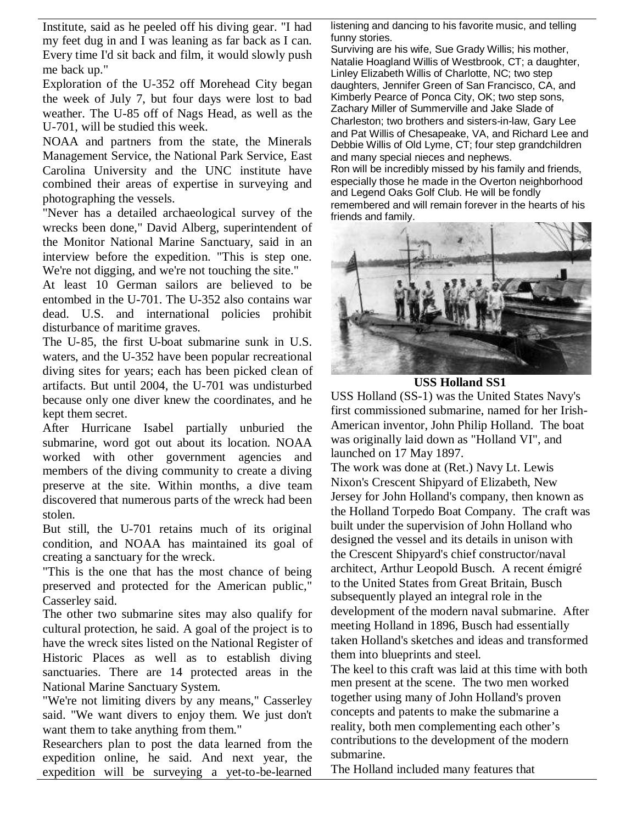Institute, said as he peeled off his diving gear. "I had my feet dug in and I was leaning as far back as I can. Every time I'd sit back and film, it would slowly push me back up."

Exploration of the U-352 off Morehead City began the week of July 7, but four days were lost to bad weather. The U-85 off of Nags Head, as well as the U-701, will be studied this week.

NOAA and partners from the state, the Minerals Management Service, the National Park Service, East Carolina University and the UNC institute have combined their areas of expertise in surveying and photographing the vessels.

"Never has a detailed archaeological survey of the wrecks been done," David Alberg, superintendent of the Monitor National Marine Sanctuary, said in an interview before the expedition. "This is step one. We're not digging, and we're not touching the site."

At least 10 German sailors are believed to be entombed in the U-701. The U-352 also contains war dead. U.S. and international policies prohibit disturbance of maritime graves.

The U-85, the first U-boat submarine sunk in U.S. waters, and the U-352 have been popular recreational diving sites for years; each has been picked clean of artifacts. But until 2004, the U-701 was undisturbed because only one diver knew the coordinates, and he kept them secret.

After Hurricane Isabel partially unburied the submarine, word got out about its location. NOAA worked with other government agencies and members of the diving community to create a diving preserve at the site. Within months, a dive team discovered that numerous parts of the wreck had been stolen.

But still, the U-701 retains much of its original condition, and NOAA has maintained its goal of creating a sanctuary for the wreck.

"This is the one that has the most chance of being preserved and protected for the American public," Casserley said.

The other two submarine sites may also qualify for cultural protection, he said. A goal of the project is to have the wreck sites listed on the National Register of Historic Places as well as to establish diving sanctuaries. There are 14 protected areas in the National Marine Sanctuary System.

"We're not limiting divers by any means," Casserley said. "We want divers to enjoy them. We just don't want them to take anything from them."

Researchers plan to post the data learned from the expedition online, he said. And next year, the expedition will be surveying a yet-to-be-learned

listening and dancing to his favorite music, and telling funny stories.

Surviving are his wife, Sue Grady Willis; his mother, Natalie Hoagland Willis of Westbrook, CT; a daughter, Linley Elizabeth Willis of Charlotte, NC; two step daughters, Jennifer Green of San Francisco, CA, and Kimberly Pearce of Ponca City, OK; two step sons, Zachary Miller of Summerville and Jake Slade of Charleston; two brothers and sisters-in-law, Gary Lee and Pat Willis of Chesapeake, VA, and Richard Lee and Debbie Willis of Old Lyme, CT; four step grandchildren and many special nieces and nephews.

Ron will be incredibly missed by his family and friends, especially those he made in the Overton neighborhood and Legend Oaks Golf Club. He will be fondly remembered and will remain forever in the hearts of his friends and family.



**USS Holland SS1**

USS Holland (SS-1) was the United States Navy's first commissioned submarine, named for her Irish-American inventor, John Philip Holland. The boat was originally laid down as "Holland VI", and launched on 17 May 1897.

The work was done at (Ret.) Navy Lt. Lewis Nixon's Crescent Shipyard of Elizabeth, New Jersey for John Holland's company, then known as the Holland Torpedo Boat Company. The craft was built under the supervision of John Holland who designed the vessel and its details in unison with the Crescent Shipyard's chief constructor/naval architect, Arthur Leopold Busch. A recent émigré to the United States from Great Britain, Busch subsequently played an integral role in the development of the modern naval submarine. After meeting Holland in 1896, Busch had essentially taken Holland's sketches and ideas and transformed them into blueprints and steel.

The keel to this craft was laid at this time with both men present at the scene. The two men worked together using many of John Holland's proven concepts and patents to make the submarine a reality, both men complementing each other's contributions to the development of the modern submarine.

The Holland included many features that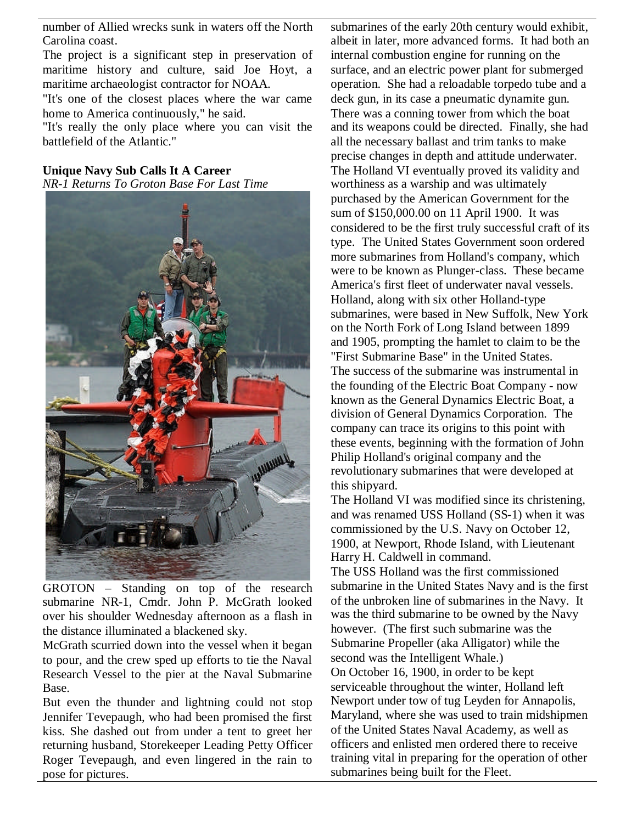number of Allied wrecks sunk in waters off the North Carolina coast.

The project is a significant step in preservation of maritime history and culture, said Joe Hoyt, a maritime archaeologist contractor for NOAA.

"It's one of the closest places where the war came home to America continuously," he said.

"It's really the only place where you can visit the battlefield of the Atlantic."

**Unique Navy Sub Calls It A Career** *NR-1 Returns To Groton Base For Last Time*



GROTON – Standing on top of the research submarine NR-1, Cmdr. John P. McGrath looked over his shoulder Wednesday afternoon as a flash in the distance illuminated a blackened sky.

McGrath scurried down into the vessel when it began to pour, and the crew sped up efforts to tie the Naval Research Vessel to the pier at the Naval Submarine Base.

But even the thunder and lightning could not stop Jennifer Tevepaugh, who had been promised the first kiss. She dashed out from under a tent to greet her returning husband, Storekeeper Leading Petty Officer Roger Tevepaugh, and even lingered in the rain to pose for pictures.

submarines of the early 20th century would exhibit, albeit in later, more advanced forms. It had both an internal combustion engine for running on the surface, and an electric power plant for submerged operation. She had a reloadable torpedo tube and a deck gun, in its case a pneumatic dynamite gun. There was a conning tower from which the boat and its weapons could be directed. Finally, she had all the necessary ballast and trim tanks to make precise changes in depth and attitude underwater. The Holland VI eventually proved its validity and worthiness as a warship and was ultimately purchased by the American Government for the sum of \$150,000.00 on 11 April 1900. It was considered to be the first truly successful craft of its type. The United States Government soon ordered more submarines from Holland's company, which were to be known as Plunger-class. These became America's first fleet of underwater naval vessels. Holland, along with six other Holland-type submarines, were based in New Suffolk, New York on the North Fork of Long Island between 1899 and 1905, prompting the hamlet to claim to be the "First Submarine Base" in the United States. The success of the submarine was instrumental in the founding of the Electric Boat Company - now known as the General Dynamics Electric Boat, a division of General Dynamics Corporation. The company can trace its origins to this point with these events, beginning with the formation of John Philip Holland's original company and the revolutionary submarines that were developed at this shipyard.

The Holland VI was modified since its christening, and was renamed USS Holland (SS-1) when it was commissioned by the U.S. Navy on October 12, 1900, at Newport, Rhode Island, with Lieutenant Harry H. Caldwell in command.

The USS Holland was the first commissioned submarine in the United States Navy and is the first of the unbroken line of submarines in the Navy. It was the third submarine to be owned by the Navy however. (The first such submarine was the Submarine Propeller (aka Alligator) while the second was the Intelligent Whale.) On October 16, 1900, in order to be kept serviceable throughout the winter, Holland left Newport under tow of tug Leyden for Annapolis, Maryland, where she was used to train midshipmen of the United States Naval Academy, as well as officers and enlisted men ordered there to receive training vital in preparing for the operation of other submarines being built for the Fleet.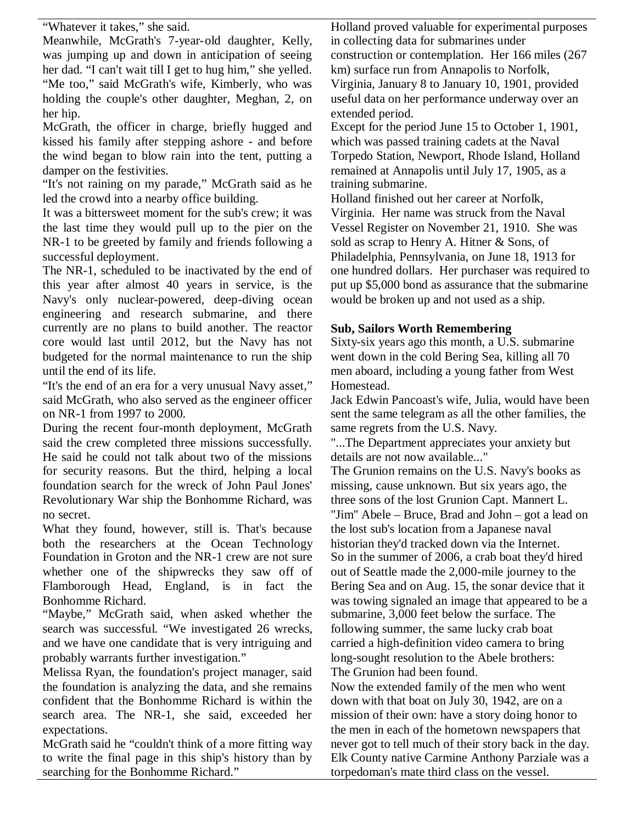"Whatever it takes," she said.

Meanwhile, McGrath's 7-year-old daughter, Kelly, was jumping up and down in anticipation of seeing her dad. "I can't wait till I get to hug him," she yelled. "Me too," said McGrath's wife, Kimberly, who was holding the couple's other daughter, Meghan, 2, on her hip.

McGrath, the officer in charge, briefly hugged and kissed his family after stepping ashore - and before the wind began to blow rain into the tent, putting a damper on the festivities.

"It's not raining on my parade," McGrath said as he led the crowd into a nearby office building.

It was a bittersweet moment for the sub's crew; it was the last time they would pull up to the pier on the NR-1 to be greeted by family and friends following a successful deployment.

The NR-1, scheduled to be inactivated by the end of this year after almost 40 years in service, is the Navy's only nuclear-powered, deep-diving ocean engineering and research submarine, and there currently are no plans to build another. The reactor core would last until 2012, but the Navy has not budgeted for the normal maintenance to run the ship until the end of its life.

"It's the end of an era for a very unusual Navy asset," said McGrath, who also served as the engineer officer on NR-1 from 1997 to 2000.

During the recent four-month deployment, McGrath said the crew completed three missions successfully. He said he could not talk about two of the missions for security reasons. But the third, helping a local foundation search for the wreck of John Paul Jones' Revolutionary War ship the Bonhomme Richard, was no secret.

What they found, however, still is. That's because both the researchers at the Ocean Technology Foundation in Groton and the NR-1 crew are not sure whether one of the shipwrecks they saw off of Flamborough Head, England, is in fact the Bonhomme Richard.

"Maybe," McGrath said, when asked whether the search was successful. "We investigated 26 wrecks, and we have one candidate that is very intriguing and probably warrants further investigation."

Melissa Ryan, the foundation's project manager, said the foundation is analyzing the data, and she remains confident that the Bonhomme Richard is within the search area. The NR-1, she said, exceeded her expectations.

McGrath said he "couldn't think of a more fitting way to write the final page in this ship's history than by searching for the Bonhomme Richard."

Holland proved valuable for experimental purposes in collecting data for submarines under

construction or contemplation. Her 166 miles (267 km) surface run from Annapolis to Norfolk,

Virginia, January 8 to January 10, 1901, provided useful data on her performance underway over an extended period.

Except for the period June 15 to October 1, 1901, which was passed training cadets at the Naval Torpedo Station, Newport, Rhode Island, Holland remained at Annapolis until July 17, 1905, as a training submarine.

Holland finished out her career at Norfolk, Virginia. Her name was struck from the Naval Vessel Register on November 21, 1910. She was sold as scrap to Henry A. Hitner & Sons, of Philadelphia, Pennsylvania, on June 18, 1913 for one hundred dollars. Her purchaser was required to put up \$5,000 bond as assurance that the submarine would be broken up and not used as a ship.

### **Sub, Sailors Worth Remembering**

Sixty-six years ago this month, a U.S. submarine went down in the cold Bering Sea, killing all 70 men aboard, including a young father from West Homestead.

Jack Edwin Pancoast's wife, Julia, would have been sent the same telegram as all the other families, the same regrets from the U.S. Navy.

"...The Department appreciates your anxiety but details are not now available..."

The Grunion remains on the U.S. Navy's books as missing, cause unknown. But six years ago, the three sons of the lost Grunion Capt. Mannert L. "Jim'' Abele – Bruce, Brad and John – got a lead on the lost sub's location from a Japanese naval historian they'd tracked down via the Internet. So in the summer of 2006, a crab boat they'd hired out of Seattle made the 2,000-mile journey to the Bering Sea and on Aug. 15, the sonar device that it was towing signaled an image that appeared to be a submarine, 3,000 feet below the surface. The following summer, the same lucky crab boat carried a high-definition video camera to bring long-sought resolution to the Abele brothers: The Grunion had been found.

Now the extended family of the men who went down with that boat on July 30, 1942, are on a mission of their own: have a story doing honor to the men in each of the hometown newspapers that never got to tell much of their story back in the day. Elk County native Carmine Anthony Parziale was a torpedoman's mate third class on the vessel.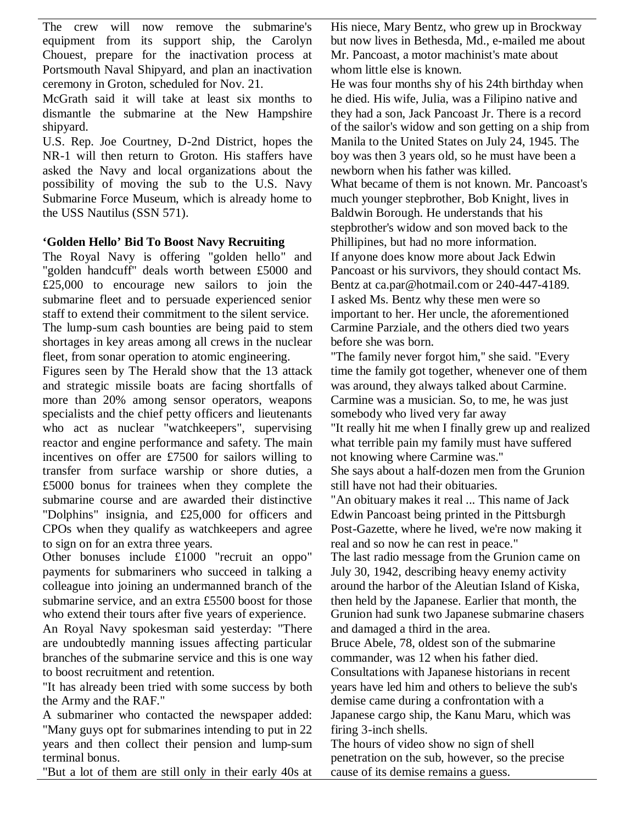The crew will now remove the submarine's equipment from its support ship, the Carolyn Chouest, prepare for the inactivation process at Portsmouth Naval Shipyard, and plan an inactivation ceremony in Groton, scheduled for Nov. 21.

McGrath said it will take at least six months to dismantle the submarine at the New Hampshire shipyard.

U.S. Rep. Joe Courtney, D-2nd District, hopes the NR-1 will then return to Groton. His staffers have asked the Navy and local organizations about the possibility of moving the sub to the U.S. Navy Submarine Force Museum, which is already home to the USS Nautilus (SSN 571).

### **'Golden Hello' Bid To Boost Navy Recruiting**

The Royal Navy is offering "golden hello" and "golden handcuff" deals worth between £5000 and £25,000 to encourage new sailors to join the submarine fleet and to persuade experienced senior staff to extend their commitment to the silent service. The lump-sum cash bounties are being paid to stem shortages in key areas among all crews in the nuclear fleet, from sonar operation to atomic engineering.

Figures seen by The Herald show that the 13 attack and strategic missile boats are facing shortfalls of more than 20% among sensor operators, weapons specialists and the chief petty officers and lieutenants who act as nuclear "watchkeepers", supervising reactor and engine performance and safety. The main incentives on offer are £7500 for sailors willing to transfer from surface warship or shore duties, a £5000 bonus for trainees when they complete the submarine course and are awarded their distinctive "Dolphins" insignia, and £25,000 for officers and CPOs when they qualify as watchkeepers and agree to sign on for an extra three years.

Other bonuses include £1000 "recruit an oppo" payments for submariners who succeed in talking a colleague into joining an undermanned branch of the submarine service, and an extra £5500 boost for those who extend their tours after five years of experience.

An Royal Navy spokesman said yesterday: "There are undoubtedly manning issues affecting particular branches of the submarine service and this is one way to boost recruitment and retention.

"It has already been tried with some success by both the Army and the RAF."

A submariner who contacted the newspaper added: "Many guys opt for submarines intending to put in 22 years and then collect their pension and lump-sum terminal bonus.

"But a lot of them are still only in their early 40s at

His niece, Mary Bentz, who grew up in Brockway but now lives in Bethesda, Md., e-mailed me about Mr. Pancoast, a motor machinist's mate about whom little else is known.

He was four months shy of his 24th birthday when he died. His wife, Julia, was a Filipino native and they had a son, Jack Pancoast Jr. There is a record of the sailor's widow and son getting on a ship from Manila to the United States on July 24, 1945. The boy was then 3 years old, so he must have been a newborn when his father was killed. What became of them is not known. Mr. Pancoast's much younger stepbrother, Bob Knight, lives in Baldwin Borough. He understands that his stepbrother's widow and son moved back to the Phillipines, but had no more information. If anyone does know more about Jack Edwin Pancoast or his survivors, they should contact Ms. Bentz at ca.par@hotmail.com or 240-447-4189. I asked Ms. Bentz why these men were so important to her. Her uncle, the aforementioned Carmine Parziale, and the others died two years before she was born.

"The family never forgot him,'' she said. "Every time the family got together, whenever one of them was around, they always talked about Carmine. Carmine was a musician. So, to me, he was just somebody who lived very far away "It really hit me when I finally grew up and realized what terrible pain my family must have suffered not knowing where Carmine was.'' She says about a half-dozen men from the Grunion still have not had their obituaries. "An obituary makes it real ... This name of Jack Edwin Pancoast being printed in the Pittsburgh Post-Gazette, where he lived, we're now making it real and so now he can rest in peace." The last radio message from the Grunion came on July 30, 1942, describing heavy enemy activity around the harbor of the Aleutian Island of Kiska, then held by the Japanese. Earlier that month, the Grunion had sunk two Japanese submarine chasers and damaged a third in the area. Bruce Abele, 78, oldest son of the submarine commander, was 12 when his father died. Consultations with Japanese historians in recent

years have led him and others to believe the sub's demise came during a confrontation with a Japanese cargo ship, the Kanu Maru, which was firing 3-inch shells.

The hours of video show no sign of shell penetration on the sub, however, so the precise cause of its demise remains a guess.